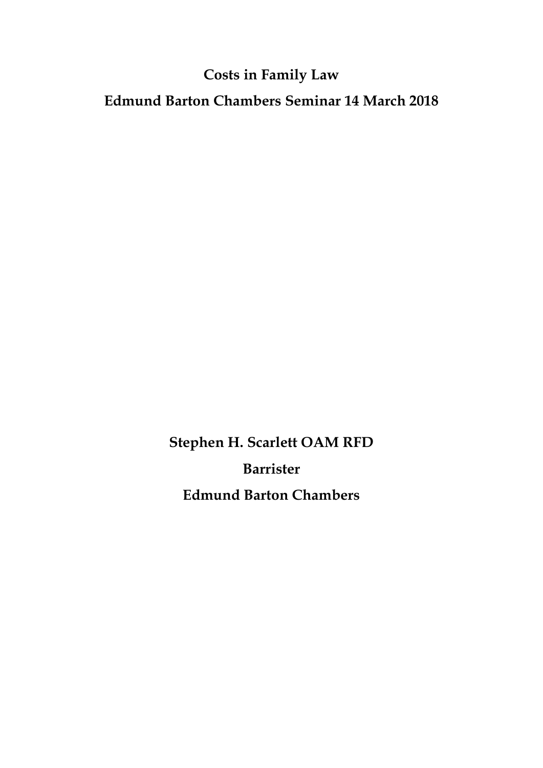# **Costs in Family Law**

**Edmund Barton Chambers Seminar 14 March 2018**

**Stephen H. Scarlett OAM RFD Barrister Edmund Barton Chambers**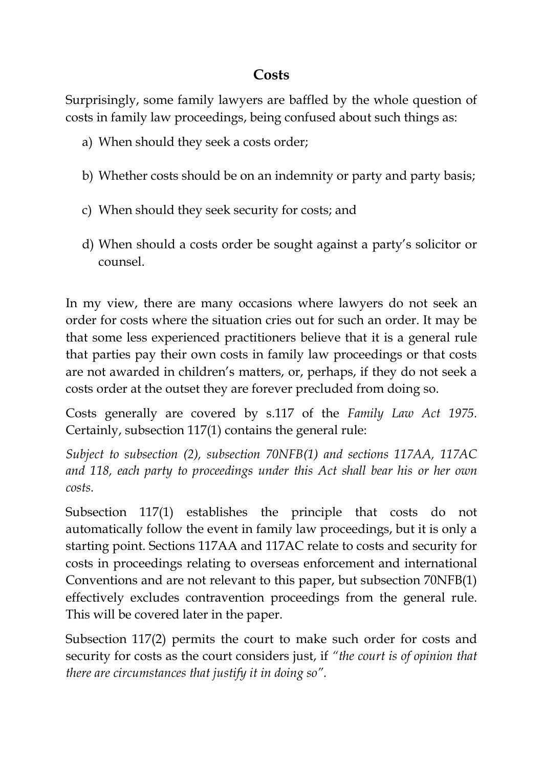### **Costs**

Surprisingly, some family lawyers are baffled by the whole question of costs in family law proceedings, being confused about such things as:

- a) When should they seek a costs order;
- b) Whether costs should be on an indemnity or party and party basis;
- c) When should they seek security for costs; and
- d) When should a costs order be sought against a party's solicitor or counsel.

In my view, there are many occasions where lawyers do not seek an order for costs where the situation cries out for such an order. It may be that some less experienced practitioners believe that it is a general rule that parties pay their own costs in family law proceedings or that costs are not awarded in children's matters, or, perhaps, if they do not seek a costs order at the outset they are forever precluded from doing so.

Costs generally are covered by s.117 of the *Family Law Act 1975.*  Certainly, subsection 117(1) contains the general rule:

*Subject to subsection (2), subsection 70NFB(1) and sections 117AA, 117AC and 118, each party to proceedings under this Act shall bear his or her own costs.*

Subsection 117(1) establishes the principle that costs do not automatically follow the event in family law proceedings, but it is only a starting point. Sections 117AA and 117AC relate to costs and security for costs in proceedings relating to overseas enforcement and international Conventions and are not relevant to this paper, but subsection 70NFB(1) effectively excludes contravention proceedings from the general rule. This will be covered later in the paper.

Subsection 117(2) permits the court to make such order for costs and security for costs as the court considers just, if *"the court is of opinion that there are circumstances that justify it in doing so".*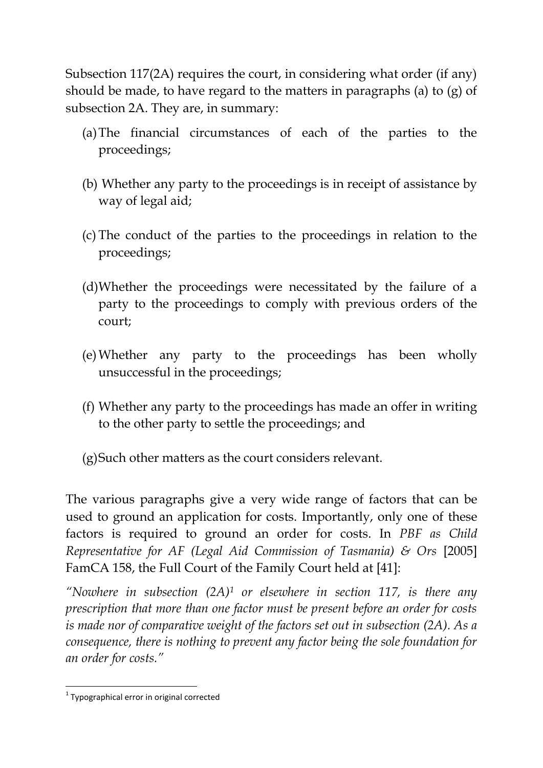Subsection 117(2A) requires the court, in considering what order (if any) should be made, to have regard to the matters in paragraphs (a) to (g) of subsection 2A. They are, in summary:

- (a)The financial circumstances of each of the parties to the proceedings;
- (b) Whether any party to the proceedings is in receipt of assistance by way of legal aid;
- (c) The conduct of the parties to the proceedings in relation to the proceedings;
- (d)Whether the proceedings were necessitated by the failure of a party to the proceedings to comply with previous orders of the court;
- (e)Whether any party to the proceedings has been wholly unsuccessful in the proceedings;
- (f) Whether any party to the proceedings has made an offer in writing to the other party to settle the proceedings; and

(g)Such other matters as the court considers relevant.

The various paragraphs give a very wide range of factors that can be used to ground an application for costs. Importantly, only one of these factors is required to ground an order for costs. In *PBF as Child Representative for AF (Legal Aid Commission of Tasmania) & Ors* [2005] FamCA 158, the Full Court of the Family Court held at [41]:

*"Nowhere in subsection (2A)<sup>1</sup> or elsewhere in section 117, is there any prescription that more than one factor must be present before an order for costs is made nor of comparative weight of the factors set out in subsection (2A). As a consequence, there is nothing to prevent any factor being the sole foundation for an order for costs."*

**<sup>.</sup>** <sup>1</sup> Typographical error in original corrected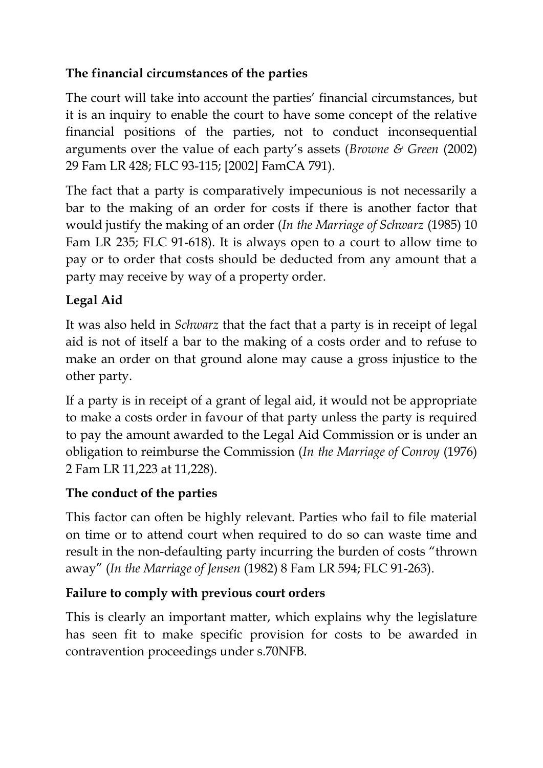## **The financial circumstances of the parties**

The court will take into account the parties' financial circumstances, but it is an inquiry to enable the court to have some concept of the relative financial positions of the parties, not to conduct inconsequential arguments over the value of each party's assets (*Browne & Green* (2002) 29 Fam LR 428; FLC 93-115; [2002] FamCA 791).

The fact that a party is comparatively impecunious is not necessarily a bar to the making of an order for costs if there is another factor that would justify the making of an order (*In the Marriage of Schwarz* (1985) 10 Fam LR 235; FLC 91-618). It is always open to a court to allow time to pay or to order that costs should be deducted from any amount that a party may receive by way of a property order.

# **Legal Aid**

It was also held in *Schwarz* that the fact that a party is in receipt of legal aid is not of itself a bar to the making of a costs order and to refuse to make an order on that ground alone may cause a gross injustice to the other party.

If a party is in receipt of a grant of legal aid, it would not be appropriate to make a costs order in favour of that party unless the party is required to pay the amount awarded to the Legal Aid Commission or is under an obligation to reimburse the Commission (*In the Marriage of Conroy* (1976) 2 Fam LR 11,223 at 11,228).

# **The conduct of the parties**

This factor can often be highly relevant. Parties who fail to file material on time or to attend court when required to do so can waste time and result in the non-defaulting party incurring the burden of costs "thrown away" (*In the Marriage of Jensen* (1982) 8 Fam LR 594; FLC 91-263).

# **Failure to comply with previous court orders**

This is clearly an important matter, which explains why the legislature has seen fit to make specific provision for costs to be awarded in contravention proceedings under s.70NFB.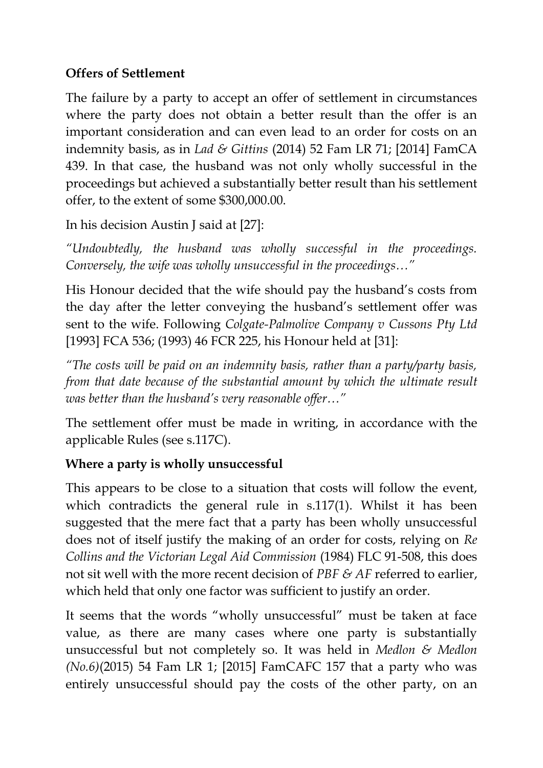#### **Offers of Settlement**

The failure by a party to accept an offer of settlement in circumstances where the party does not obtain a better result than the offer is an important consideration and can even lead to an order for costs on an indemnity basis, as in *Lad & Gittins* (2014) 52 Fam LR 71; [2014] FamCA 439. In that case, the husband was not only wholly successful in the proceedings but achieved a substantially better result than his settlement offer, to the extent of some \$300,000.00.

In his decision Austin J said at [27]:

*"Undoubtedly, the husband was wholly successful in the proceedings. Conversely, the wife was wholly unsuccessful in the proceedings…"*

His Honour decided that the wife should pay the husband's costs from the day after the letter conveying the husband's settlement offer was sent to the wife. Following *Colgate-Palmolive Company v Cussons Pty Ltd*  [1993] FCA 536; (1993) 46 FCR 225, his Honour held at [31]:

*"The costs will be paid on an indemnity basis, rather than a party/party basis, from that date because of the substantial amount by which the ultimate result was better than the husband's very reasonable offer…"* 

The settlement offer must be made in writing, in accordance with the applicable Rules (see s.117C).

### **Where a party is wholly unsuccessful**

This appears to be close to a situation that costs will follow the event, which contradicts the general rule in s.117(1). Whilst it has been suggested that the mere fact that a party has been wholly unsuccessful does not of itself justify the making of an order for costs, relying on *Re Collins and the Victorian Legal Aid Commission* (1984) FLC 91-508, this does not sit well with the more recent decision of *PBF & AF* referred to earlier, which held that only one factor was sufficient to justify an order.

It seems that the words "wholly unsuccessful" must be taken at face value, as there are many cases where one party is substantially unsuccessful but not completely so. It was held in *Medlon & Medlon (No.6)*(2015) 54 Fam LR 1; [2015] FamCAFC 157 that a party who was entirely unsuccessful should pay the costs of the other party, on an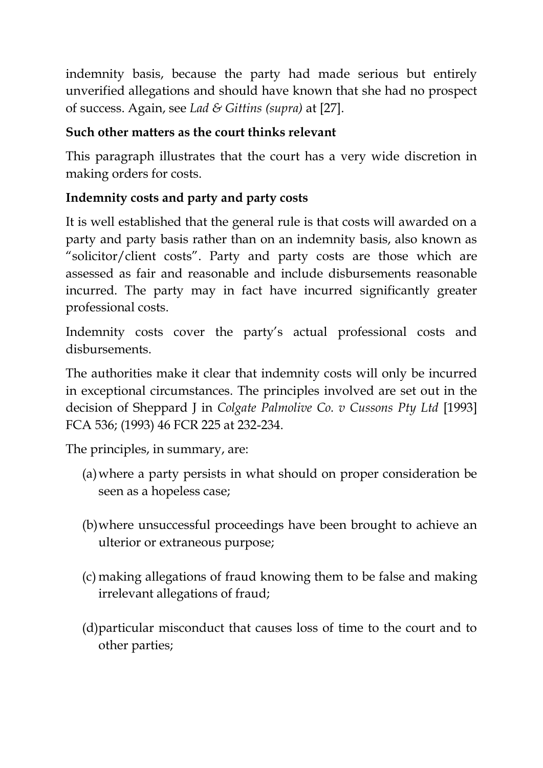indemnity basis, because the party had made serious but entirely unverified allegations and should have known that she had no prospect of success. Again, see *Lad & Gittins (supra)* at [27].

### **Such other matters as the court thinks relevant**

This paragraph illustrates that the court has a very wide discretion in making orders for costs.

### **Indemnity costs and party and party costs**

It is well established that the general rule is that costs will awarded on a party and party basis rather than on an indemnity basis, also known as "solicitor/client costs". Party and party costs are those which are assessed as fair and reasonable and include disbursements reasonable incurred. The party may in fact have incurred significantly greater professional costs.

Indemnity costs cover the party's actual professional costs and disbursements.

The authorities make it clear that indemnity costs will only be incurred in exceptional circumstances. The principles involved are set out in the decision of Sheppard J in *Colgate Palmolive Co. v Cussons Pty Ltd* [1993] FCA 536; (1993) 46 FCR 225 at 232-234.

The principles, in summary, are:

- (a)where a party persists in what should on proper consideration be seen as a hopeless case;
- (b)where unsuccessful proceedings have been brought to achieve an ulterior or extraneous purpose;
- (c) making allegations of fraud knowing them to be false and making irrelevant allegations of fraud;
- (d)particular misconduct that causes loss of time to the court and to other parties;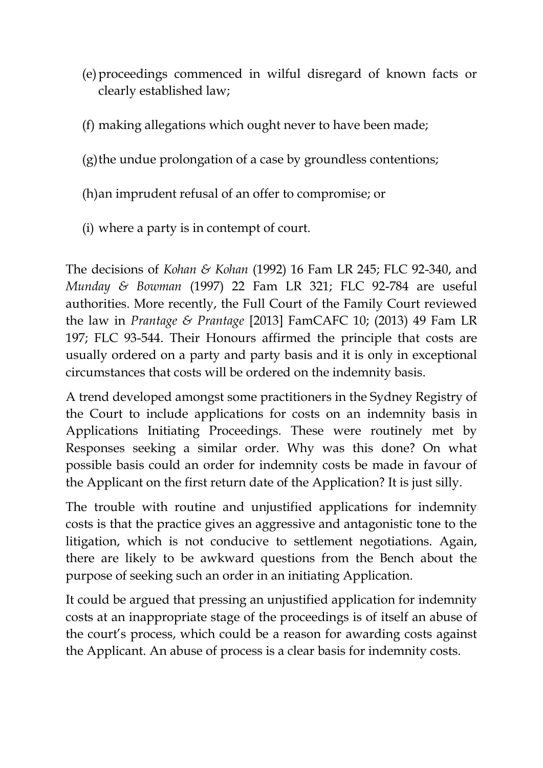- (e)proceedings commenced in wilful disregard of known facts or clearly established law;
- (f) making allegations which ought never to have been made;
- (g)the undue prolongation of a case by groundless contentions;
- (h)an imprudent refusal of an offer to compromise; or
- (i) where a party is in contempt of court.

The decisions of *Kohan & Kohan* (1992) 16 Fam LR 245; FLC 92-340, and *Munday & Bowman* (1997) 22 Fam LR 321; FLC 92-784 are useful authorities. More recently, the Full Court of the Family Court reviewed the law in *Prantage & Prantage* [2013] FamCAFC 10; (2013) 49 Fam LR 197; FLC 93-544. Their Honours affirmed the principle that costs are usually ordered on a party and party basis and it is only in exceptional circumstances that costs will be ordered on the indemnity basis.

A trend developed amongst some practitioners in the Sydney Registry of the Court to include applications for costs on an indemnity basis in Applications Initiating Proceedings. These were routinely met by Responses seeking a similar order. Why was this done? On what possible basis could an order for indemnity costs be made in favour of the Applicant on the first return date of the Application? It is just silly.

The trouble with routine and unjustified applications for indemnity costs is that the practice gives an aggressive and antagonistic tone to the litigation, which is not conducive to settlement negotiations. Again, there are likely to be awkward questions from the Bench about the purpose of seeking such an order in an initiating Application.

It could be argued that pressing an unjustified application for indemnity costs at an inappropriate stage of the proceedings is of itself an abuse of the court's process, which could be a reason for awarding costs against the Applicant. An abuse of process is a clear basis for indemnity costs.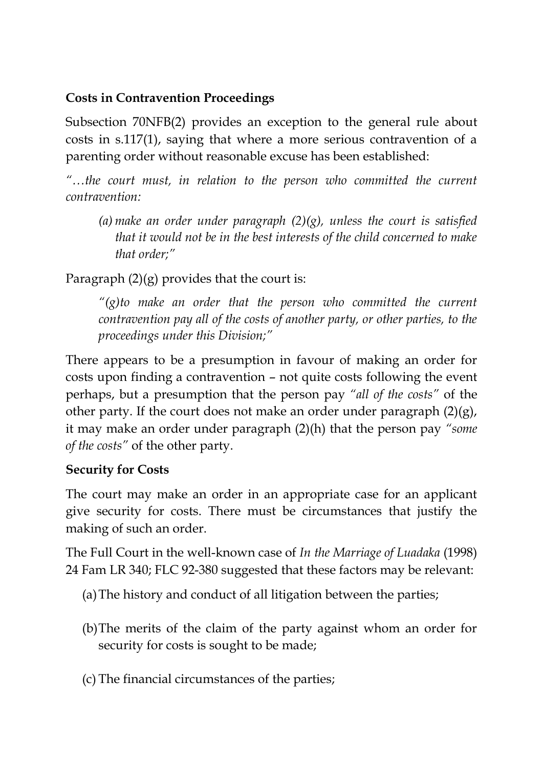#### **Costs in Contravention Proceedings**

Subsection 70NFB(2) provides an exception to the general rule about costs in s.117(1), saying that where a more serious contravention of a parenting order without reasonable excuse has been established:

*"…the court must, in relation to the person who committed the current contravention:*

(a) make an order under paragraph  $(2)(g)$ , unless the court is satisfied *that it would not be in the best interests of the child concerned to make that order;"*

Paragraph  $(2)(g)$  provides that the court is:

*"(g)to make an order that the person who committed the current contravention pay all of the costs of another party, or other parties, to the proceedings under this Division;"*

There appears to be a presumption in favour of making an order for costs upon finding a contravention – not quite costs following the event perhaps, but a presumption that the person pay *"all of the costs"* of the other party. If the court does not make an order under paragraph (2)(g), it may make an order under paragraph (2)(h) that the person pay *"some of the costs"* of the other party.

### **Security for Costs**

The court may make an order in an appropriate case for an applicant give security for costs. There must be circumstances that justify the making of such an order.

The Full Court in the well-known case of *In the Marriage of Luadaka* (1998) 24 Fam LR 340; FLC 92-380 suggested that these factors may be relevant:

- (a)The history and conduct of all litigation between the parties;
- (b)The merits of the claim of the party against whom an order for security for costs is sought to be made;
- (c) The financial circumstances of the parties;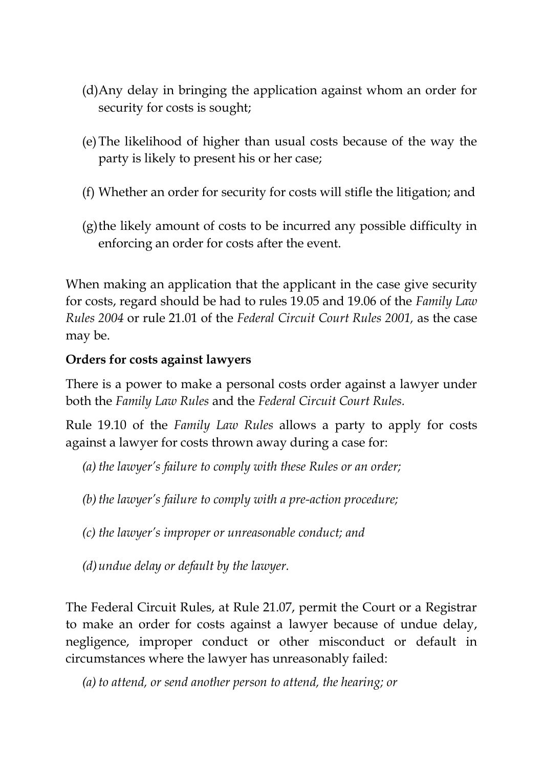- (d)Any delay in bringing the application against whom an order for security for costs is sought;
- (e)The likelihood of higher than usual costs because of the way the party is likely to present his or her case;
- (f) Whether an order for security for costs will stifle the litigation; and
- (g)the likely amount of costs to be incurred any possible difficulty in enforcing an order for costs after the event.

When making an application that the applicant in the case give security for costs, regard should be had to rules 19.05 and 19.06 of the *Family Law Rules 2004* or rule 21.01 of the *Federal Circuit Court Rules 2001,* as the case may be.

#### **Orders for costs against lawyers**

There is a power to make a personal costs order against a lawyer under both the *Family Law Rules* and the *Federal Circuit Court Rules.* 

Rule 19.10 of the *Family Law Rules* allows a party to apply for costs against a lawyer for costs thrown away during a case for:

*(a) the lawyer's failure to comply with these Rules or an order;*

*(b)the lawyer's failure to comply with a pre-action procedure;*

*(c) the lawyer's improper or unreasonable conduct; and*

*(d)undue delay or default by the lawyer.*

The Federal Circuit Rules, at Rule 21.07, permit the Court or a Registrar to make an order for costs against a lawyer because of undue delay, negligence, improper conduct or other misconduct or default in circumstances where the lawyer has unreasonably failed:

*(a) to attend, or send another person to attend, the hearing; or*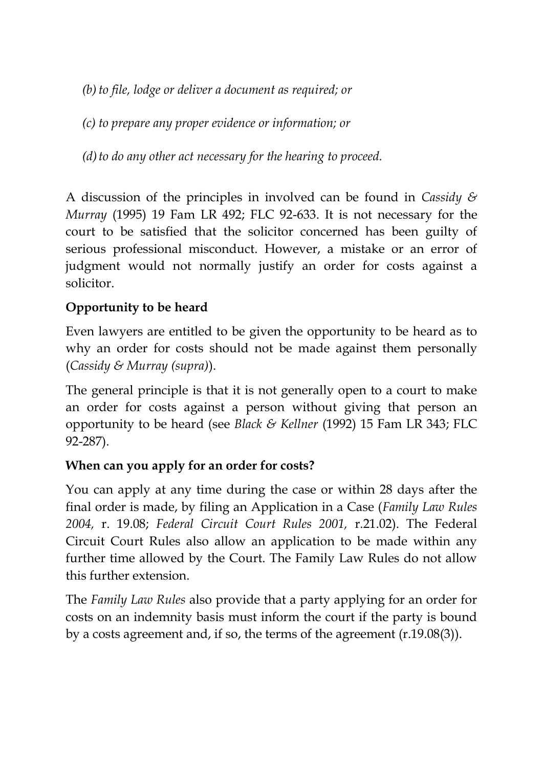*(b)to file, lodge or deliver a document as required; or*

*(c) to prepare any proper evidence or information; or*

*(d)to do any other act necessary for the hearing to proceed.*

A discussion of the principles in involved can be found in *Cassidy & Murray* (1995) 19 Fam LR 492; FLC 92-633. It is not necessary for the court to be satisfied that the solicitor concerned has been guilty of serious professional misconduct. However, a mistake or an error of judgment would not normally justify an order for costs against a solicitor.

### **Opportunity to be heard**

Even lawyers are entitled to be given the opportunity to be heard as to why an order for costs should not be made against them personally (*Cassidy & Murray (supra)*).

The general principle is that it is not generally open to a court to make an order for costs against a person without giving that person an opportunity to be heard (see *Black & Kellner* (1992) 15 Fam LR 343; FLC 92-287).

#### **When can you apply for an order for costs?**

You can apply at any time during the case or within 28 days after the final order is made, by filing an Application in a Case (*Family Law Rules 2004,* r. 19.08; *Federal Circuit Court Rules 2001,* r.21.02). The Federal Circuit Court Rules also allow an application to be made within any further time allowed by the Court. The Family Law Rules do not allow this further extension.

The *Family Law Rules* also provide that a party applying for an order for costs on an indemnity basis must inform the court if the party is bound by a costs agreement and, if so, the terms of the agreement (r.19.08(3)).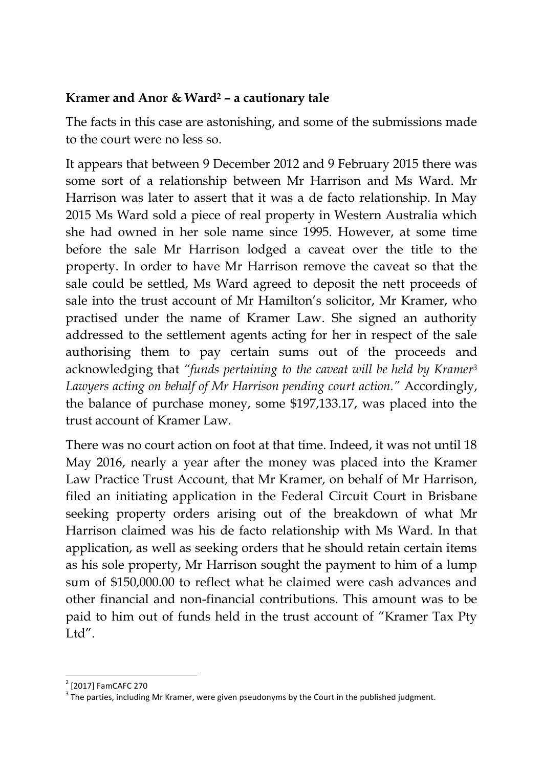#### **Kramer and Anor & Ward<sup>2</sup> – a cautionary tale**

The facts in this case are astonishing, and some of the submissions made to the court were no less so.

It appears that between 9 December 2012 and 9 February 2015 there was some sort of a relationship between Mr Harrison and Ms Ward. Mr Harrison was later to assert that it was a de facto relationship. In May 2015 Ms Ward sold a piece of real property in Western Australia which she had owned in her sole name since 1995. However, at some time before the sale Mr Harrison lodged a caveat over the title to the property. In order to have Mr Harrison remove the caveat so that the sale could be settled, Ms Ward agreed to deposit the nett proceeds of sale into the trust account of Mr Hamilton's solicitor, Mr Kramer, who practised under the name of Kramer Law. She signed an authority addressed to the settlement agents acting for her in respect of the sale authorising them to pay certain sums out of the proceeds and acknowledging that *"funds pertaining to the caveat will be held by Kramer<sup>3</sup> Lawyers acting on behalf of Mr Harrison pending court action."* Accordingly, the balance of purchase money, some \$197,133.17, was placed into the trust account of Kramer Law.

There was no court action on foot at that time. Indeed, it was not until 18 May 2016, nearly a year after the money was placed into the Kramer Law Practice Trust Account, that Mr Kramer, on behalf of Mr Harrison, filed an initiating application in the Federal Circuit Court in Brisbane seeking property orders arising out of the breakdown of what Mr Harrison claimed was his de facto relationship with Ms Ward. In that application, as well as seeking orders that he should retain certain items as his sole property, Mr Harrison sought the payment to him of a lump sum of \$150,000.00 to reflect what he claimed were cash advances and other financial and non-financial contributions. This amount was to be paid to him out of funds held in the trust account of "Kramer Tax Pty Ltd".

<sup>1</sup> 2 [2017] FamCAFC 270

 $3$  The parties, including Mr Kramer, were given pseudonyms by the Court in the published judgment.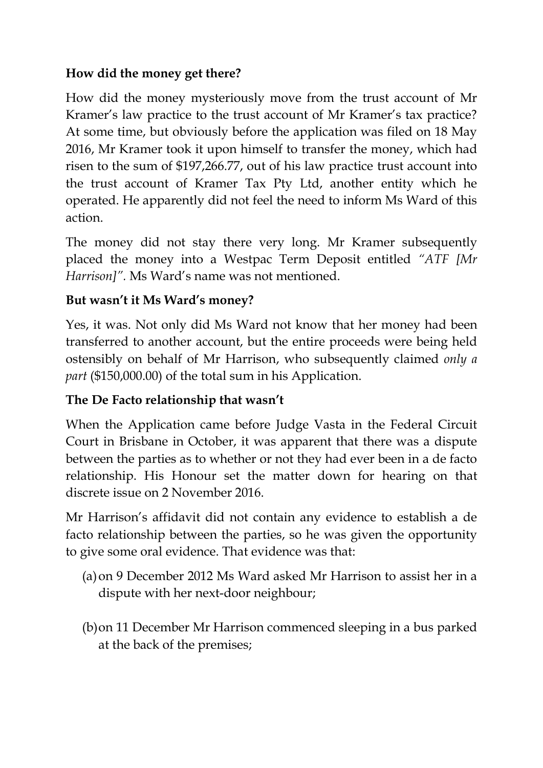### **How did the money get there?**

How did the money mysteriously move from the trust account of Mr Kramer's law practice to the trust account of Mr Kramer's tax practice? At some time, but obviously before the application was filed on 18 May 2016, Mr Kramer took it upon himself to transfer the money, which had risen to the sum of \$197,266.77, out of his law practice trust account into the trust account of Kramer Tax Pty Ltd, another entity which he operated. He apparently did not feel the need to inform Ms Ward of this action.

The money did not stay there very long. Mr Kramer subsequently placed the money into a Westpac Term Deposit entitled *"ATF [Mr Harrison]".* Ms Ward's name was not mentioned.

#### **But wasn't it Ms Ward's money?**

Yes, it was. Not only did Ms Ward not know that her money had been transferred to another account, but the entire proceeds were being held ostensibly on behalf of Mr Harrison, who subsequently claimed *only a part* (\$150,000.00) of the total sum in his Application.

#### **The De Facto relationship that wasn't**

When the Application came before Judge Vasta in the Federal Circuit Court in Brisbane in October, it was apparent that there was a dispute between the parties as to whether or not they had ever been in a de facto relationship. His Honour set the matter down for hearing on that discrete issue on 2 November 2016.

Mr Harrison's affidavit did not contain any evidence to establish a de facto relationship between the parties, so he was given the opportunity to give some oral evidence. That evidence was that:

- (a)on 9 December 2012 Ms Ward asked Mr Harrison to assist her in a dispute with her next-door neighbour;
- (b)on 11 December Mr Harrison commenced sleeping in a bus parked at the back of the premises;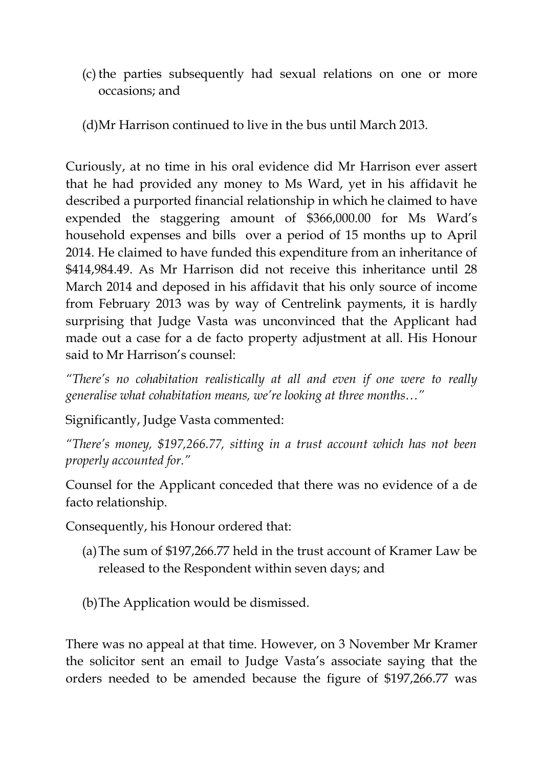- (c) the parties subsequently had sexual relations on one or more occasions; and
- (d)Mr Harrison continued to live in the bus until March 2013.

Curiously, at no time in his oral evidence did Mr Harrison ever assert that he had provided any money to Ms Ward, yet in his affidavit he described a purported financial relationship in which he claimed to have expended the staggering amount of \$366,000.00 for Ms Ward's household expenses and bills over a period of 15 months up to April 2014. He claimed to have funded this expenditure from an inheritance of \$414,984.49. As Mr Harrison did not receive this inheritance until 28 March 2014 and deposed in his affidavit that his only source of income from February 2013 was by way of Centrelink payments, it is hardly surprising that Judge Vasta was unconvinced that the Applicant had made out a case for a de facto property adjustment at all. His Honour said to Mr Harrison's counsel:

*"There's no cohabitation realistically at all and even if one were to really generalise what cohabitation means, we're looking at three months…"*

Significantly, Judge Vasta commented:

*"There's money, \$197,266.77, sitting in a trust account which has not been properly accounted for."* 

Counsel for the Applicant conceded that there was no evidence of a de facto relationship.

Consequently, his Honour ordered that:

- (a)The sum of \$197,266.77 held in the trust account of Kramer Law be released to the Respondent within seven days; and
- (b)The Application would be dismissed.

There was no appeal at that time. However, on 3 November Mr Kramer the solicitor sent an email to Judge Vasta's associate saying that the orders needed to be amended because the figure of \$197,266.77 was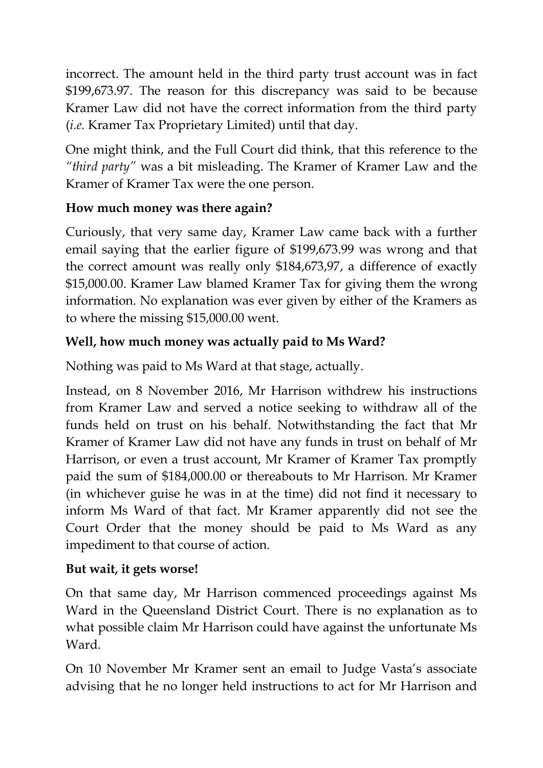incorrect. The amount held in the third party trust account was in fact \$199,673.97. The reason for this discrepancy was said to be because Kramer Law did not have the correct information from the third party (*i.e.* Kramer Tax Proprietary Limited) until that day.

One might think, and the Full Court did think, that this reference to the *"third party"* was a bit misleading. The Kramer of Kramer Law and the Kramer of Kramer Tax were the one person.

# **How much money was there again?**

Curiously, that very same day, Kramer Law came back with a further email saying that the earlier figure of \$199,673.99 was wrong and that the correct amount was really only \$184,673,97, a difference of exactly \$15,000.00. Kramer Law blamed Kramer Tax for giving them the wrong information. No explanation was ever given by either of the Kramers as to where the missing \$15,000.00 went.

## **Well, how much money was actually paid to Ms Ward?**

Nothing was paid to Ms Ward at that stage, actually.

Instead, on 8 November 2016, Mr Harrison withdrew his instructions from Kramer Law and served a notice seeking to withdraw all of the funds held on trust on his behalf. Notwithstanding the fact that Mr Kramer of Kramer Law did not have any funds in trust on behalf of Mr Harrison, or even a trust account, Mr Kramer of Kramer Tax promptly paid the sum of \$184,000.00 or thereabouts to Mr Harrison. Mr Kramer (in whichever guise he was in at the time) did not find it necessary to inform Ms Ward of that fact. Mr Kramer apparently did not see the Court Order that the money should be paid to Ms Ward as any impediment to that course of action.

### **But wait, it gets worse!**

On that same day, Mr Harrison commenced proceedings against Ms Ward in the Queensland District Court. There is no explanation as to what possible claim Mr Harrison could have against the unfortunate Ms Ward.

On 10 November Mr Kramer sent an email to Judge Vasta's associate advising that he no longer held instructions to act for Mr Harrison and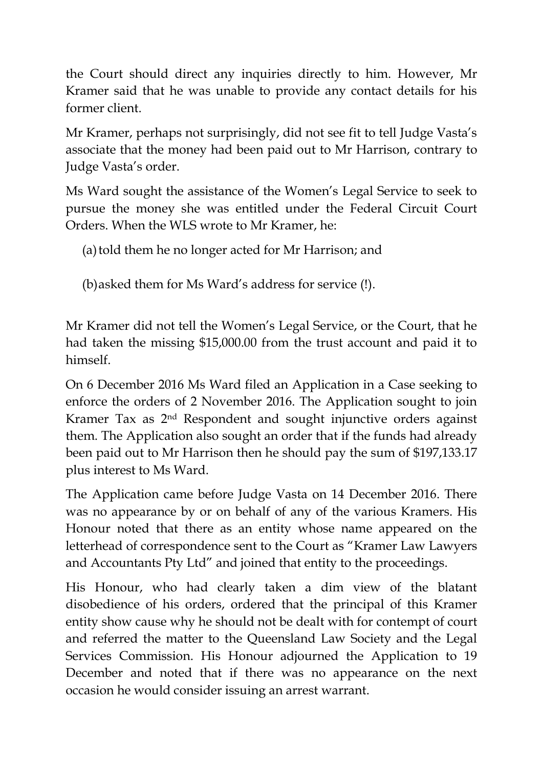the Court should direct any inquiries directly to him. However, Mr Kramer said that he was unable to provide any contact details for his former client.

Mr Kramer, perhaps not surprisingly, did not see fit to tell Judge Vasta's associate that the money had been paid out to Mr Harrison, contrary to Judge Vasta's order.

Ms Ward sought the assistance of the Women's Legal Service to seek to pursue the money she was entitled under the Federal Circuit Court Orders. When the WLS wrote to Mr Kramer, he:

(a) told them he no longer acted for Mr Harrison; and

(b)asked them for Ms Ward's address for service (!).

Mr Kramer did not tell the Women's Legal Service, or the Court, that he had taken the missing \$15,000.00 from the trust account and paid it to himself.

On 6 December 2016 Ms Ward filed an Application in a Case seeking to enforce the orders of 2 November 2016. The Application sought to join Kramer Tax as 2nd Respondent and sought injunctive orders against them. The Application also sought an order that if the funds had already been paid out to Mr Harrison then he should pay the sum of \$197,133.17 plus interest to Ms Ward.

The Application came before Judge Vasta on 14 December 2016. There was no appearance by or on behalf of any of the various Kramers. His Honour noted that there as an entity whose name appeared on the letterhead of correspondence sent to the Court as "Kramer Law Lawyers and Accountants Pty Ltd" and joined that entity to the proceedings.

His Honour, who had clearly taken a dim view of the blatant disobedience of his orders, ordered that the principal of this Kramer entity show cause why he should not be dealt with for contempt of court and referred the matter to the Queensland Law Society and the Legal Services Commission. His Honour adjourned the Application to 19 December and noted that if there was no appearance on the next occasion he would consider issuing an arrest warrant.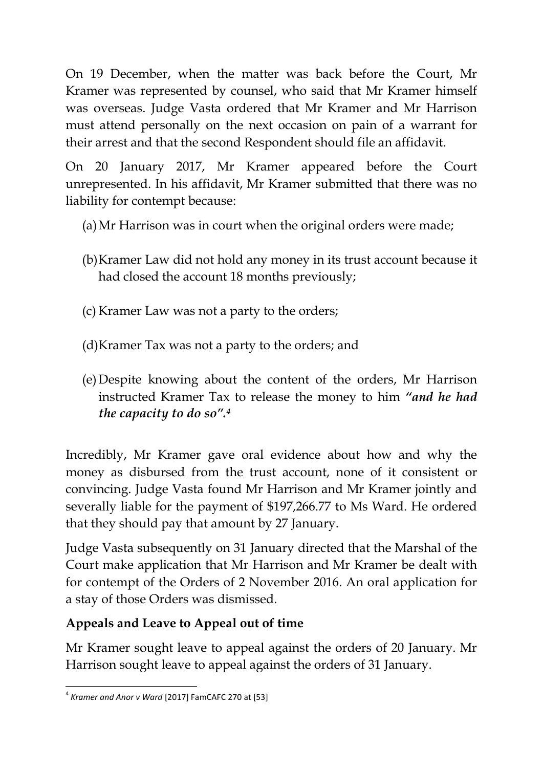On 19 December, when the matter was back before the Court, Mr Kramer was represented by counsel, who said that Mr Kramer himself was overseas. Judge Vasta ordered that Mr Kramer and Mr Harrison must attend personally on the next occasion on pain of a warrant for their arrest and that the second Respondent should file an affidavit.

On 20 January 2017, Mr Kramer appeared before the Court unrepresented. In his affidavit, Mr Kramer submitted that there was no liability for contempt because:

- (a)Mr Harrison was in court when the original orders were made;
- (b)Kramer Law did not hold any money in its trust account because it had closed the account 18 months previously;
- (c) Kramer Law was not a party to the orders;
- (d)Kramer Tax was not a party to the orders; and
- (e)Despite knowing about the content of the orders, Mr Harrison instructed Kramer Tax to release the money to him *"and he had the capacity to do so".<sup>4</sup>*

Incredibly, Mr Kramer gave oral evidence about how and why the money as disbursed from the trust account, none of it consistent or convincing. Judge Vasta found Mr Harrison and Mr Kramer jointly and severally liable for the payment of \$197,266.77 to Ms Ward. He ordered that they should pay that amount by 27 January.

Judge Vasta subsequently on 31 January directed that the Marshal of the Court make application that Mr Harrison and Mr Kramer be dealt with for contempt of the Orders of 2 November 2016. An oral application for a stay of those Orders was dismissed.

# **Appeals and Leave to Appeal out of time**

Mr Kramer sought leave to appeal against the orders of 20 January. Mr Harrison sought leave to appeal against the orders of 31 January.

 4 *Kramer and Anor v Ward* [2017] FamCAFC 270 at [53]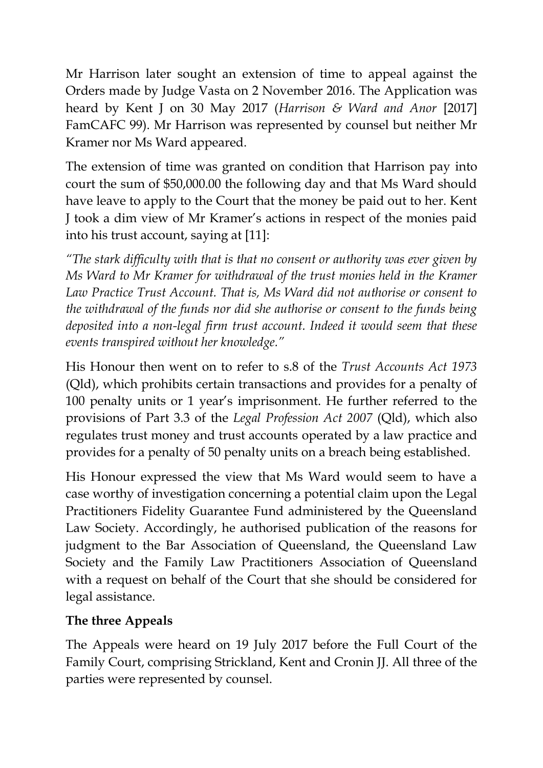Mr Harrison later sought an extension of time to appeal against the Orders made by Judge Vasta on 2 November 2016. The Application was heard by Kent J on 30 May 2017 (*Harrison & Ward and Anor* [2017] FamCAFC 99). Mr Harrison was represented by counsel but neither Mr Kramer nor Ms Ward appeared.

The extension of time was granted on condition that Harrison pay into court the sum of \$50,000.00 the following day and that Ms Ward should have leave to apply to the Court that the money be paid out to her. Kent J took a dim view of Mr Kramer's actions in respect of the monies paid into his trust account, saying at [11]:

*"The stark difficulty with that is that no consent or authority was ever given by Ms Ward to Mr Kramer for withdrawal of the trust monies held in the Kramer Law Practice Trust Account. That is, Ms Ward did not authorise or consent to the withdrawal of the funds nor did she authorise or consent to the funds being deposited into a non-legal firm trust account. Indeed it would seem that these events transpired without her knowledge."*

His Honour then went on to refer to s.8 of the *Trust Accounts Act 1973*  (Qld), which prohibits certain transactions and provides for a penalty of 100 penalty units or 1 year's imprisonment. He further referred to the provisions of Part 3.3 of the *Legal Profession Act 2007* (Qld), which also regulates trust money and trust accounts operated by a law practice and provides for a penalty of 50 penalty units on a breach being established.

His Honour expressed the view that Ms Ward would seem to have a case worthy of investigation concerning a potential claim upon the Legal Practitioners Fidelity Guarantee Fund administered by the Queensland Law Society. Accordingly, he authorised publication of the reasons for judgment to the Bar Association of Queensland, the Queensland Law Society and the Family Law Practitioners Association of Queensland with a request on behalf of the Court that she should be considered for legal assistance.

### **The three Appeals**

The Appeals were heard on 19 July 2017 before the Full Court of the Family Court, comprising Strickland, Kent and Cronin JJ. All three of the parties were represented by counsel.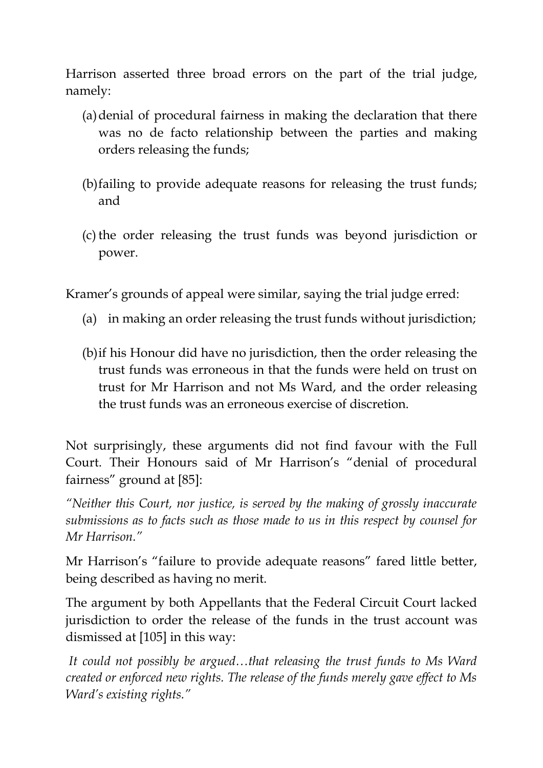Harrison asserted three broad errors on the part of the trial judge, namely:

- (a)denial of procedural fairness in making the declaration that there was no de facto relationship between the parties and making orders releasing the funds;
- (b)failing to provide adequate reasons for releasing the trust funds; and
- (c) the order releasing the trust funds was beyond jurisdiction or power.

Kramer's grounds of appeal were similar, saying the trial judge erred:

- (a) in making an order releasing the trust funds without jurisdiction;
- (b)if his Honour did have no jurisdiction, then the order releasing the trust funds was erroneous in that the funds were held on trust on trust for Mr Harrison and not Ms Ward, and the order releasing the trust funds was an erroneous exercise of discretion.

Not surprisingly, these arguments did not find favour with the Full Court. Their Honours said of Mr Harrison's "denial of procedural fairness" ground at [85]:

*"Neither this Court, nor justice, is served by the making of grossly inaccurate submissions as to facts such as those made to us in this respect by counsel for Mr Harrison."*

Mr Harrison's "failure to provide adequate reasons" fared little better, being described as having no merit.

The argument by both Appellants that the Federal Circuit Court lacked jurisdiction to order the release of the funds in the trust account was dismissed at [105] in this way:

*It could not possibly be argued…that releasing the trust funds to Ms Ward created or enforced new rights. The release of the funds merely gave effect to Ms Ward's existing rights."*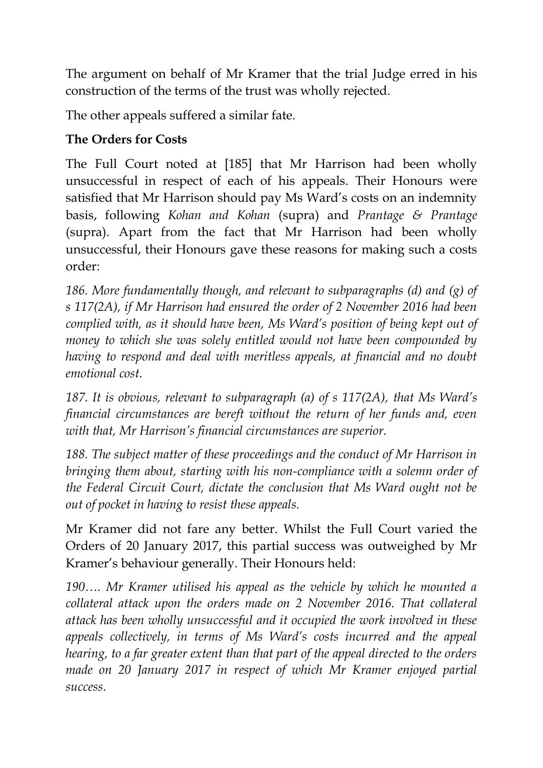The argument on behalf of Mr Kramer that the trial Judge erred in his construction of the terms of the trust was wholly rejected.

The other appeals suffered a similar fate.

## **The Orders for Costs**

The Full Court noted at [185] that Mr Harrison had been wholly unsuccessful in respect of each of his appeals. Their Honours were satisfied that Mr Harrison should pay Ms Ward's costs on an indemnity basis, following *Kohan and Kohan* (supra) and *Prantage & Prantage*  (supra). Apart from the fact that Mr Harrison had been wholly unsuccessful, their Honours gave these reasons for making such a costs order:

*186. More fundamentally though, and relevant to subparagraphs (d) and (g) of s 117(2A), if Mr Harrison had ensured the order of 2 November 2016 had been complied with, as it should have been, Ms Ward's position of being kept out of money to which she was solely entitled would not have been compounded by having to respond and deal with meritless appeals, at financial and no doubt emotional cost.*

*187. It is obvious, relevant to subparagraph (a) of s 117(2A), that Ms Ward's financial circumstances are bereft without the return of her funds and, even with that, Mr Harrison's financial circumstances are superior.*

*188. The subject matter of these proceedings and the conduct of Mr Harrison in bringing them about, starting with his non-compliance with a solemn order of the Federal Circuit Court, dictate the conclusion that Ms Ward ought not be out of pocket in having to resist these appeals.*

Mr Kramer did not fare any better. Whilst the Full Court varied the Orders of 20 January 2017, this partial success was outweighed by Mr Kramer's behaviour generally. Their Honours held:

*190…. Mr Kramer utilised his appeal as the vehicle by which he mounted a collateral attack upon the orders made on 2 November 2016. That collateral attack has been wholly unsuccessful and it occupied the work involved in these appeals collectively, in terms of Ms Ward's costs incurred and the appeal hearing, to a far greater extent than that part of the appeal directed to the orders made on 20 January 2017 in respect of which Mr Kramer enjoyed partial success.*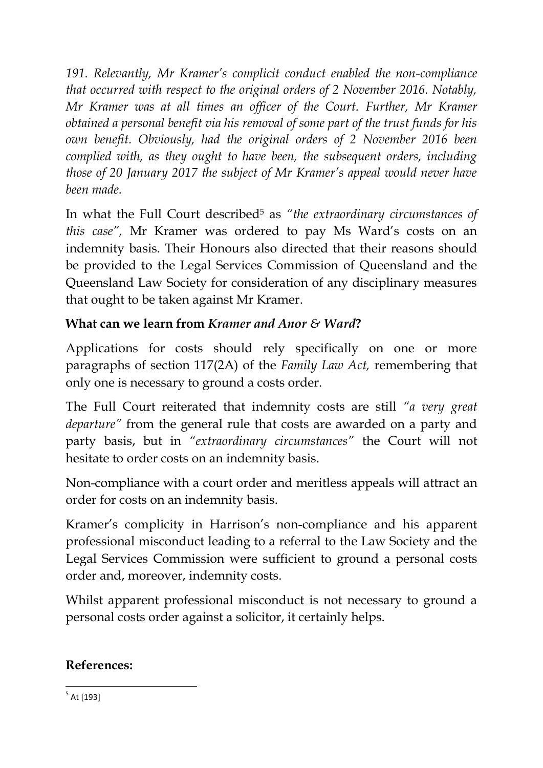*191. Relevantly, Mr Kramer's complicit conduct enabled the non-compliance that occurred with respect to the original orders of 2 November 2016. Notably, Mr Kramer was at all times an officer of the Court. Further, Mr Kramer obtained a personal benefit via his removal of some part of the trust funds for his own benefit. Obviously, had the original orders of 2 November 2016 been complied with, as they ought to have been, the subsequent orders, including those of 20 January 2017 the subject of Mr Kramer's appeal would never have been made.*

In what the Full Court described<sup>5</sup> as *"the extraordinary circumstances of this case",* Mr Kramer was ordered to pay Ms Ward's costs on an indemnity basis. Their Honours also directed that their reasons should be provided to the Legal Services Commission of Queensland and the Queensland Law Society for consideration of any disciplinary measures that ought to be taken against Mr Kramer.

## **What can we learn from** *Kramer and Anor & Ward***?**

Applications for costs should rely specifically on one or more paragraphs of section 117(2A) of the *Family Law Act,* remembering that only one is necessary to ground a costs order.

The Full Court reiterated that indemnity costs are still *"a very great departure"* from the general rule that costs are awarded on a party and party basis, but in *"extraordinary circumstances"* the Court will not hesitate to order costs on an indemnity basis.

Non-compliance with a court order and meritless appeals will attract an order for costs on an indemnity basis.

Kramer's complicity in Harrison's non-compliance and his apparent professional misconduct leading to a referral to the Law Society and the Legal Services Commission were sufficient to ground a personal costs order and, moreover, indemnity costs.

Whilst apparent professional misconduct is not necessary to ground a personal costs order against a solicitor, it certainly helps.

### **References:**

5 At [193]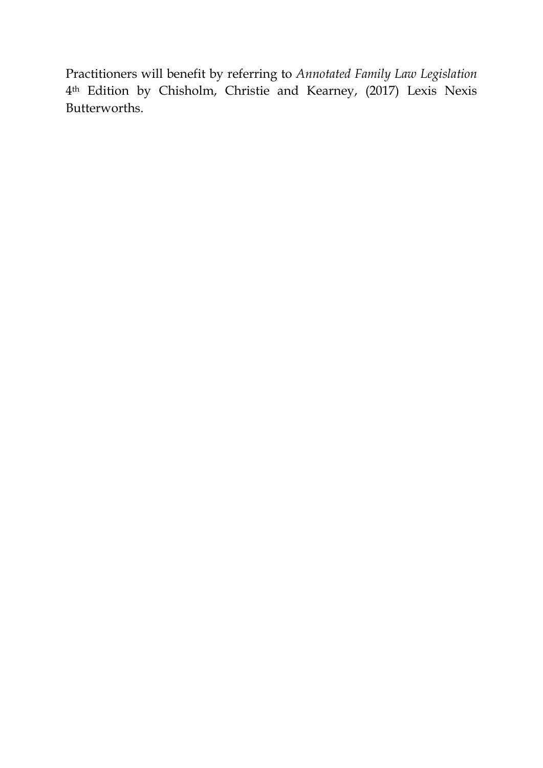Practitioners will benefit by referring to *Annotated Family Law Legislation* 4th Edition by Chisholm, Christie and Kearney, (2017) Lexis Nexis Butterworths.